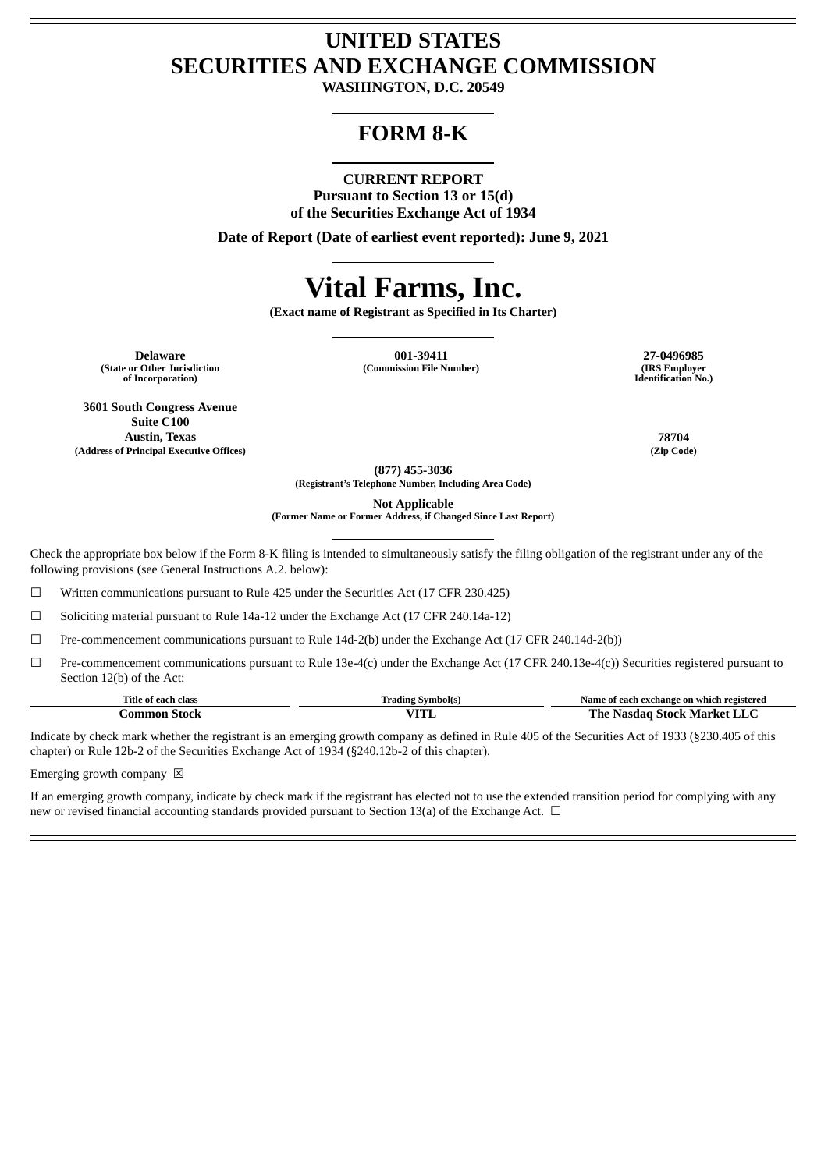## **UNITED STATES SECURITIES AND EXCHANGE COMMISSION**

**WASHINGTON, D.C. 20549**

### **FORM 8-K**

### **CURRENT REPORT Pursuant to Section 13 or 15(d) of the Securities Exchange Act of 1934**

**Date of Report (Date of earliest event reported): June 9, 2021**

# **Vital Farms, Inc.**

**(Exact name of Registrant as Specified in Its Charter)**

**(State or Other Jurisdiction of Incorporation)**

**Delaware 001-39411 27-0496985**  $(Commission File Number)$ 

**Identification No.)**

**3601 South Congress Avenue Suite C100 Austin, Texas 78704 (Address of Principal Executive Offices) (Zip Code)**

**(877) 455-3036 (Registrant's Telephone Number, Including Area Code)**

**Not Applicable**

**(Former Name or Former Address, if Changed Since Last Report)**

Check the appropriate box below if the Form 8-K filing is intended to simultaneously satisfy the filing obligation of the registrant under any of the following provisions (see General Instructions A.2. below):

 $\Box$  Written communications pursuant to Rule 425 under the Securities Act (17 CFR 230.425)

☐ Soliciting material pursuant to Rule 14a-12 under the Exchange Act (17 CFR 240.14a-12)

☐ Pre-commencement communications pursuant to Rule 14d-2(b) under the Exchange Act (17 CFR 240.14d-2(b))

☐ Pre-commencement communications pursuant to Rule 13e-4(c) under the Exchange Act (17 CFR 240.13e-4(c)) Securities registered pursuant to Section 12(b) of the Act:

| Title of each class | <b>Symbol</b> (s<br>Trading | Name of each exchange on which registered |
|---------------------|-----------------------------|-------------------------------------------|
| :'ommon Stock       |                             | The .<br>-Nasdag Stock Market LLC         |

Indicate by check mark whether the registrant is an emerging growth company as defined in Rule 405 of the Securities Act of 1933 (§230.405 of this chapter) or Rule 12b-2 of the Securities Exchange Act of 1934 (§240.12b-2 of this chapter).

Emerging growth company  $\boxtimes$ 

If an emerging growth company, indicate by check mark if the registrant has elected not to use the extended transition period for complying with any new or revised financial accounting standards provided pursuant to Section 13(a) of the Exchange Act. □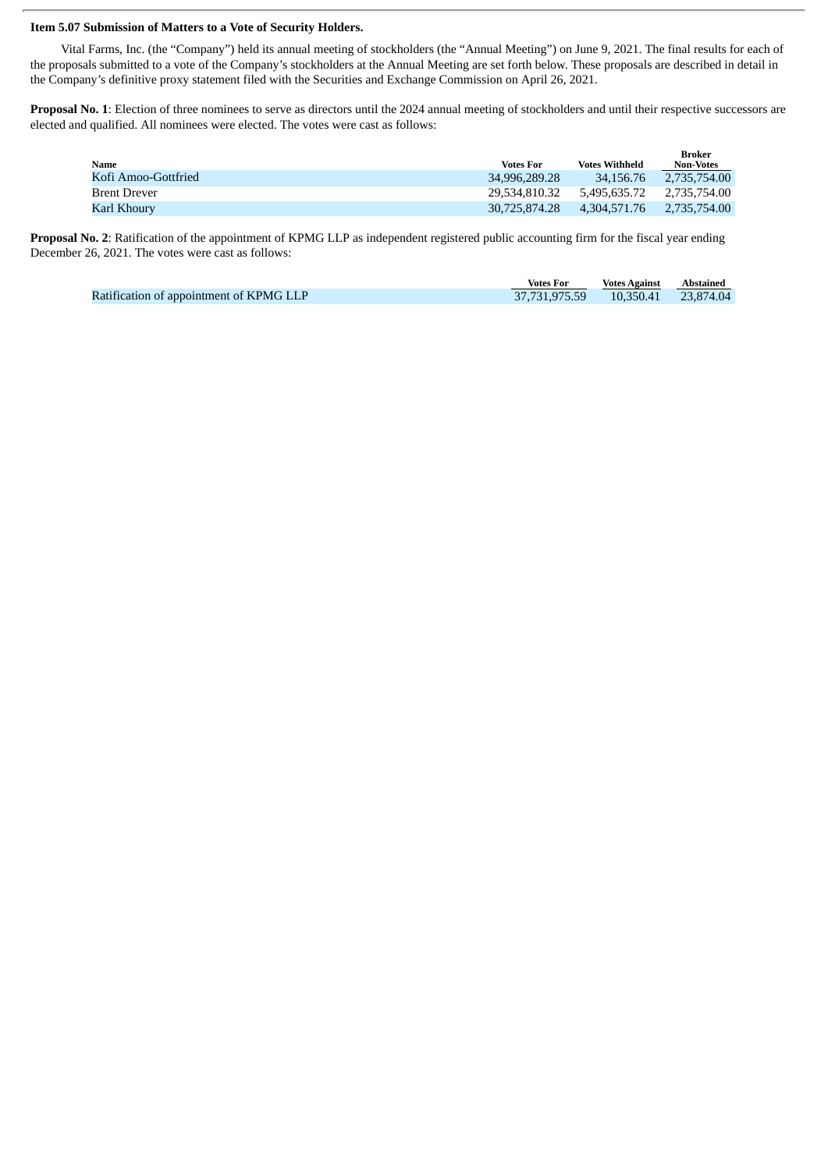#### **Item 5.07 Submission of Matters to a Vote of Security Holders.**

Vital Farms, Inc. (the "Company") held its annual meeting of stockholders (the "Annual Meeting") on June 9, 2021. The final results for each of the proposals submitted to a vote of the Company's stockholders at the Annual Meeting are set forth below. These proposals are described in detail in the Company's definitive proxy statement filed with the Securities and Exchange Commission on April 26, 2021.

**Proposal No. 1**: Election of three nominees to serve as directors until the 2024 annual meeting of stockholders and until their respective successors are elected and qualified. All nominees were elected. The votes were cast as follows:

| Name                | <b>Votes For</b> | Votes Withheld | Broker<br><b>Non-Votes</b> |
|---------------------|------------------|----------------|----------------------------|
| Kofi Amoo-Gottfried | 34,996,289.28    | 34.156.76      | 2.735.754.00               |
| Brent Drever        | 29.534.810.32    | 5.495.635.72   | 2.735.754.00               |
| Karl Khourv         | 30,725,874.28    | 4.304.571.76   | 2.735.754.00               |

**Proposal No. 2**: Ratification of the appointment of KPMG LLP as independent registered public accounting firm for the fiscal year ending December 26, 2021. The votes were cast as follows:

|                                         | <b>Votes For</b> | <b>Votes Against</b> | Abstained |
|-----------------------------------------|------------------|----------------------|-----------|
| Ratification of appointment of KPMG LLP |                  |                      |           |